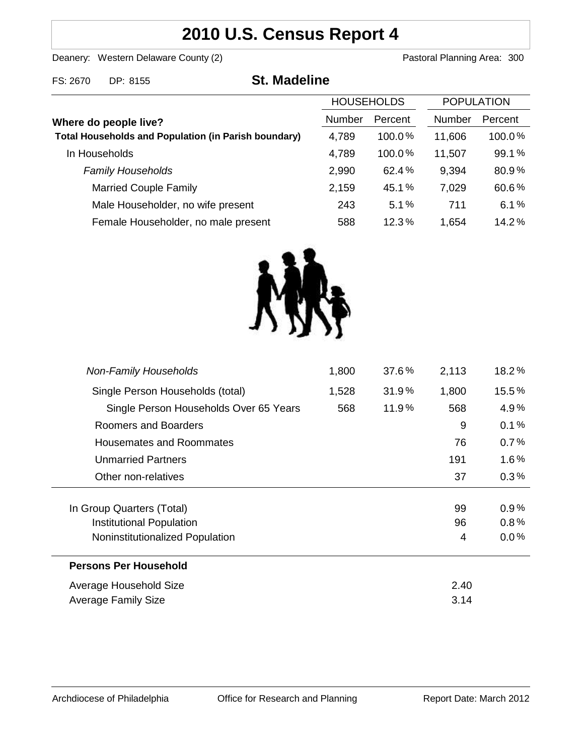# **2010 U.S. Census Report 4**

Deanery: Western Delaware County (2) Deanery: Western Delaware County (2)

FS: 2670 DP: 8155 **St. Madeline**

| Where do people live?                                       | <b>HOUSEHOLDS</b> |           | <b>POPULATION</b> |         |
|-------------------------------------------------------------|-------------------|-----------|-------------------|---------|
|                                                             | <b>Number</b>     | Percent   | Number            | Percent |
| <b>Total Households and Population (in Parish boundary)</b> | 4,789             | $100.0\%$ | 11,606            | 100.0%  |
| In Households                                               | 4,789             | 100.0%    | 11,507            | 99.1%   |
| <b>Family Households</b>                                    | 2,990             | 62.4%     | 9,394             | 80.9%   |
| <b>Married Couple Family</b>                                | 2,159             | 45.1%     | 7,029             | 60.6%   |
| Male Householder, no wife present                           | 243               | 5.1%      | 711               | 6.1%    |
| Female Householder, no male present                         | 588               | 12.3%     | 1,654             | 14.2%   |



| <b>Non-Family Households</b>           | 1,800 | 37.6% | 2,113 | $18.2\%$ |
|----------------------------------------|-------|-------|-------|----------|
| Single Person Households (total)       | 1,528 | 31.9% | 1,800 | 15.5%    |
| Single Person Households Over 65 Years | 568   | 11.9% | 568   | 4.9%     |
| Roomers and Boarders                   |       |       | 9     | 0.1%     |
| Housemates and Roommates               |       |       | 76    | 0.7%     |
| <b>Unmarried Partners</b>              |       |       | 191   | $1.6\%$  |
| Other non-relatives                    |       |       | 37    | 0.3%     |
|                                        |       |       |       |          |
| In Group Quarters (Total)              |       |       | 99    | $0.9\%$  |
| Institutional Population               |       |       | 96    | 0.8%     |
| Noninstitutionalized Population        |       |       | 4     | $0.0\%$  |
| <b>Persons Per Household</b>           |       |       |       |          |
| Average Household Size                 |       |       | 2.40  |          |
| Average Family Size                    |       |       | 3.14  |          |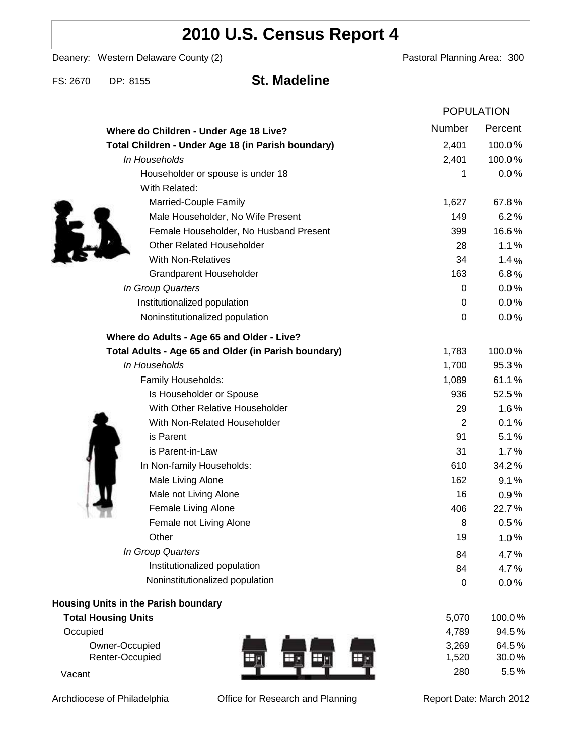# **2010 U.S. Census Report 4**

Deanery: Western Delaware County (2) Deanery: Western Delaware County (2)

FS: 2670 DP: 8155 **St. Madeline**

|                                                      | <b>POPULATION</b> |         |
|------------------------------------------------------|-------------------|---------|
| Where do Children - Under Age 18 Live?               | <b>Number</b>     | Percent |
| Total Children - Under Age 18 (in Parish boundary)   | 2,401             | 100.0%  |
| In Households                                        | 2,401             | 100.0%  |
| Householder or spouse is under 18                    | 1                 | 0.0%    |
| With Related:                                        |                   |         |
| Married-Couple Family                                | 1,627             | 67.8%   |
| Male Householder, No Wife Present                    | 149               | 6.2%    |
| Female Householder, No Husband Present               | 399               | 16.6%   |
| <b>Other Related Householder</b>                     | 28                | 1.1%    |
| <b>With Non-Relatives</b>                            | 34                | 1.4%    |
| <b>Grandparent Householder</b>                       | 163               | 6.8%    |
| In Group Quarters                                    | 0                 | 0.0%    |
| Institutionalized population                         | 0                 | 0.0%    |
| Noninstitutionalized population                      | $\boldsymbol{0}$  | 0.0%    |
| Where do Adults - Age 65 and Older - Live?           |                   |         |
| Total Adults - Age 65 and Older (in Parish boundary) | 1,783             | 100.0%  |
| In Households                                        | 1,700             | 95.3%   |
| Family Households:                                   | 1,089             | 61.1%   |
| Is Householder or Spouse                             | 936               | 52.5%   |
| With Other Relative Householder                      | 29                | 1.6%    |
| With Non-Related Householder                         | $\overline{2}$    | 0.1%    |
| is Parent                                            | 91                | 5.1%    |
| is Parent-in-Law                                     | 31                | 1.7%    |
| In Non-family Households:                            | 610               | 34.2%   |
| Male Living Alone                                    | 162               | 9.1%    |
| Male not Living Alone                                | 16                | 0.9%    |
| Female Living Alone                                  | 406               | 22.7%   |
| Female not Living Alone                              | 8                 | 0.5%    |
| Other                                                | 19                | 1.0%    |
| In Group Quarters                                    | 84                | 4.7%    |
| Institutionalized population                         | 84                | 4.7%    |
| Noninstitutionalized population                      | 0                 | 0.0%    |
| <b>Housing Units in the Parish boundary</b>          |                   |         |
| <b>Total Housing Units</b>                           | 5,070             | 100.0%  |
| Occupied                                             | 4,789             | 94.5%   |
| Owner-Occupied                                       | 3,269             | 64.5%   |
| Renter-Occupied                                      | 1,520             | 30.0%   |
| Vacant                                               | 280               | 5.5%    |

Archdiocese of Philadelphia **Office for Research and Planning** Report Date: March 2012